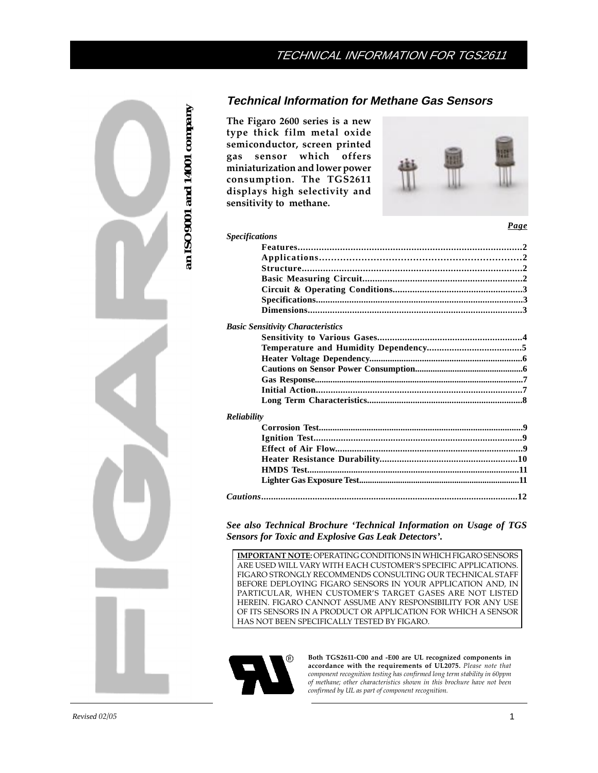# **Technical Information for Methane Gas Sensors**

**The Figaro 2600 series is a new type thick film metal oxide semiconductor, screen printed gas sensor which offers miniaturization and lower power consumption. The TGS2611 displays high selectivity and sensitivity to methane.**

*Specifications*



 *Page*

| <b>Basic Sensitivity Characteristics</b> |  |
|------------------------------------------|--|
|                                          |  |
|                                          |  |
|                                          |  |
|                                          |  |
|                                          |  |
|                                          |  |
|                                          |  |
| <b>Reliability</b>                       |  |
|                                          |  |
|                                          |  |
|                                          |  |
|                                          |  |
|                                          |  |
|                                          |  |
|                                          |  |

*See also Technical Brochure 'Technical Information on Usage of TGS Sensors for Toxic and Explosive Gas Leak Detectors'.*

**IMPORTANT NOTE:** OPERATING CONDITIONS IN WHICH FIGARO SENSORS ARE USED WILL VARY WITH EACH CUSTOMER'S SPECIFIC APPLICATIONS. FIGARO STRONGLY RECOMMENDS CONSULTING OUR TECHNICAL STAFF BEFORE DEPLOYING FIGARO SENSORS IN YOUR APPLICATION AND, IN PARTICULAR, WHEN CUSTOMER'S TARGET GASES ARE NOT LISTED HEREIN. FIGARO CANNOT ASSUME ANY RESPONSIBILITY FOR ANY USE OF ITS SENSORS IN A PRODUCT OR APPLICATION FOR WHICH A SENSOR HAS NOT BEEN SPECIFICALLY TESTED BY FIGARO.



**Both TGS2611-C00 and -E00 are UL recognized components in accordance with the requirements of UL2075.** *Please note that component recognition testing has confirmed long term stability in 60ppm of methane; other characteristics shown in this brochure have not been confirmed by UL as part of component recognition.*

*an ISO9001 and 14001 company*

an ISO9001 and 14001 company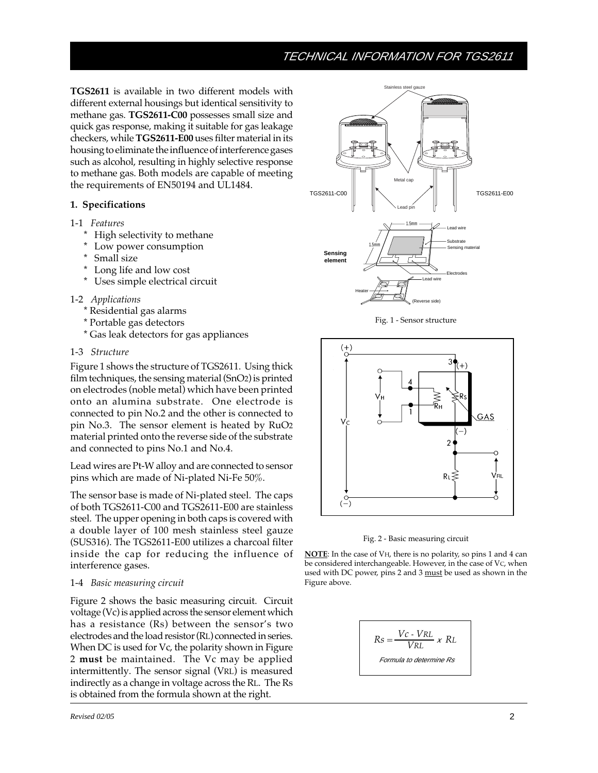**TGS2611** is available in two different models with different external housings but identical sensitivity to methane gas. **TGS2611-C00** possesses small size and quick gas response, making it suitable for gas leakage checkers, while **TGS2611-E00** uses filter material in its housing to eliminate the influence of interference gases such as alcohol, resulting in highly selective response to methane gas. Both models are capable of meeting the requirements of EN50194 and UL1484.

## **1. Specifications**

- 1-1 *Features*
	- \* High selectivity to methane
	- \* Low power consumption
	- \* Small size
	- \* Long life and low cost
	- \* Uses simple electrical circuit
- 1-2 *Applications*
	- \* Residential gas alarms
	- \* Portable gas detectors
	- \* Gas leak detectors for gas appliances

### 1-3 *Structure*

Figure 1 shows the structure of TGS2611. Using thick film techniques, the sensing material (SnO2) is printed on electrodes (noble metal) which have been printed onto an alumina substrate. One electrode is connected to pin No.2 and the other is connected to pin No.3. The sensor element is heated by RuO2 material printed onto the reverse side of the substrate and connected to pins No.1 and No.4.

Lead wires are Pt-W alloy and are connected to sensor pins which are made of Ni-plated Ni-Fe 50%.

The sensor base is made of Ni-plated steel. The caps of both TGS2611-C00 and TGS2611-E00 are stainless steel. The upper opening in both caps is covered with a double layer of 100 mesh stainless steel gauze (SUS316). The TGS2611-E00 utilizes a charcoal filter inside the cap for reducing the influence of interference gases.

## 1-4 *Basic measuring circuit*

Figure 2 shows the basic measuring circuit. Circuit voltage (Vc) is applied across the sensor element which has a resistance (Rs) between the sensor's two electrodes and the load resistor (RL) connected in series. When DC is used for Vc, the polarity shown in Figure 2 **must** be maintained. The Vc may be applied intermittently. The sensor signal (VRL) is measured indirectly as a change in voltage across the RL. The Rs is obtained from the formula shown at the right.



Fig. 1 - Sensor structure





**NOTE**: In the case of VH, there is no polarity, so pins 1 and 4 can be considered interchangeable. However, in the case of VC, when used with DC power, pins 2 and 3 must be used as shown in the Figure above.

$$
Rs = \frac{Vc \cdot VRL}{VRL} \times RL
$$
  
Formula to determine Rs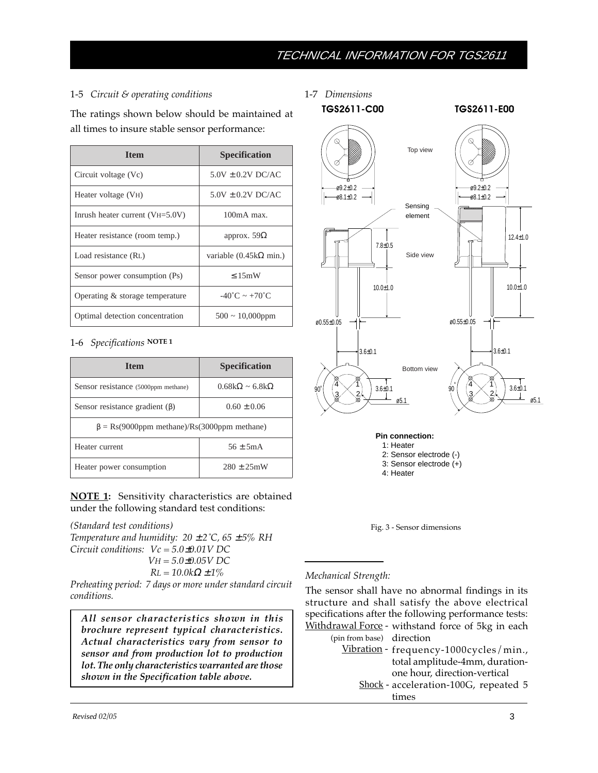# 1-5 *Circuit & operating conditions*

The ratings shown below should be maintained at all times to insure stable sensor performance:

| <b>Item</b>                       | <b>Specification</b>                  |  |
|-----------------------------------|---------------------------------------|--|
| Circuit voltage (Vc)              | $5.0V \pm 0.2V$ DC/AC                 |  |
| Heater voltage (V <sub>H</sub> )  | $5.0V \pm 0.2V$ DC/AC                 |  |
| Inrush heater current $(VH=5.0V)$ | $100mA$ max.                          |  |
| Heater resistance (room temp.)    | approx. $59\Omega$                    |  |
| Load resistance (RL)              | variable $(0.45k\Omega \text{ min.})$ |  |
| Sensor power consumption (Ps)     | < 15mW                                |  |
| Operating & storage temperature   | $-40^{\circ}$ C ~ $+70^{\circ}$ C     |  |
| Optimal detection concentration   | $500 \sim 10,000$ ppm                 |  |

# 1-6 *Specifications* **NOTE 1**

| <b>Item</b>                                                                                   | <b>Specification</b>             |  |  |  |
|-----------------------------------------------------------------------------------------------|----------------------------------|--|--|--|
| Sensor resistance (5000ppm methane)                                                           | $0.68k\Omega \approx 6.8k\Omega$ |  |  |  |
| Sensor resistance gradient $(\beta)$                                                          | $0.60 \pm 0.06$                  |  |  |  |
| $\beta = \text{Rs}(9000 \text{ppm} \text{ method})/\text{Rs}(3000 \text{ppm} \text{ method})$ |                                  |  |  |  |
| Heater current                                                                                | $56 + 5mA$                       |  |  |  |
| Heater power consumption                                                                      | $280 \pm 25$ mW                  |  |  |  |

**NOTE 1:** Sensitivity characteristics are obtained under the following standard test conditions:

*(Standard test conditions) Temperature and humidity:*  $20 \pm 2^{\circ}C$ ,  $65 \pm 5\%$  RH *Circuit conditions: Vc = 5.0*±*0.01V DC VH = 5.0*±*0.05V DC*

*RL* =  $10.0kΩ ± 1%$ 

*Preheating period: 7 days or more under standard circuit conditions.*

*All sensor characteristics shown in this brochure represent typical characteristics. Actual characteristics vary from sensor to sensor and from production lot to production lot. The only characteristics warranted are those shown in the Specification table above.*

1-7 *Dimensions*



**Pin connection:** 1: Heater 2: Sensor electrode (-) 3: Sensor electrode (+) 4: Heater



# *Mechanical Strength:*

The sensor shall have no abnormal findings in its structure and shall satisfy the above electrical specifications after the following performance tests: <u>Withdrawal Force</u> - withstand force of 5kg in each

 (pin from base) direction Vibration - frequency-1000cycles/min., Shock - acceleration-100G, repeated 5 total amplitude-4mm, durationone hour, direction-vertical times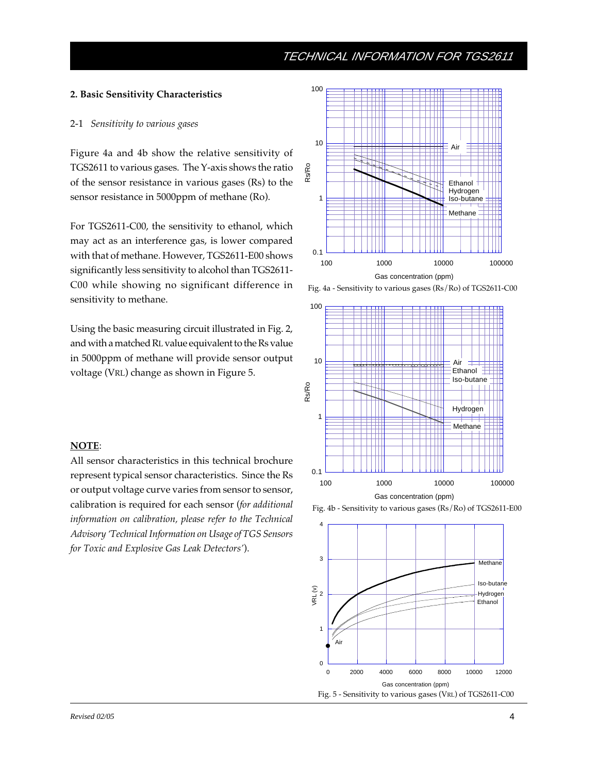#### **2. Basic Sensitivity Characteristics**

#### 2-1 *Sensitivity to various gases*

Figure 4a and 4b show the relative sensitivity of TGS2611 to various gases. The Y-axis shows the ratio of the sensor resistance in various gases (Rs) to the sensor resistance in 5000ppm of methane (Ro).

For TGS2611-C00, the sensitivity to ethanol, which may act as an interference gas, is lower compared with that of methane. However, TGS2611-E00 shows significantly less sensitivity to alcohol than TGS2611- C00 while showing no significant difference in sensitivity to methane.

Using the basic measuring circuit illustrated in Fig. 2, and with a matched RL value equivalent to the Rs value in 5000ppm of methane will provide sensor output voltage (VRL) change as shown in Figure 5.

# **NOTE**:

All sensor characteristics in this technical brochure represent typical sensor characteristics. Since the Rs or output voltage curve varies from sensor to sensor, calibration is required for each sensor (*for additional information on calibration, please refer to the Technical Advisory 'Technical Information on Usage of TGS Sensors for Toxic and Explosive Gas Leak Detectors'*).



Fig. 4a - Sensitivity to various gases (Rs/Ro) of TGS2611-C00





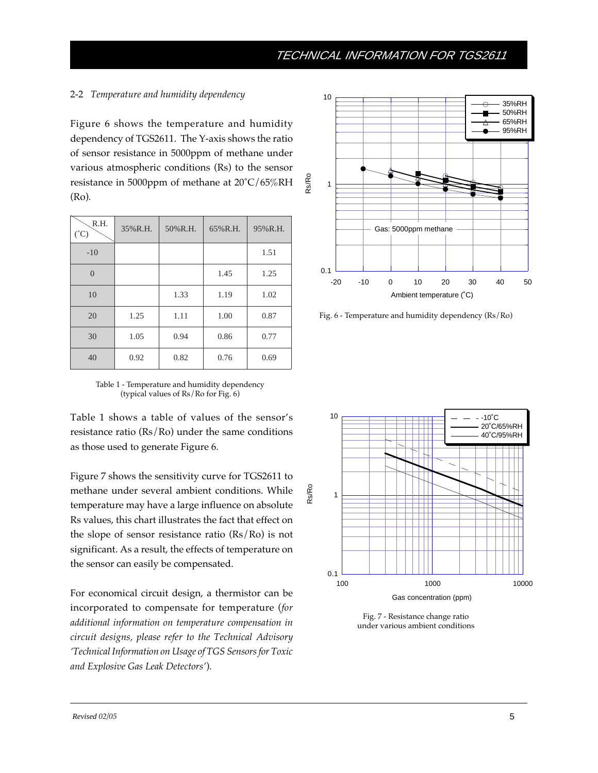# 2-2 *Temperature and humidity dependency*

Figure 6 shows the temperature and humidity dependency of TGS2611. The Y-axis shows the ratio of sensor resistance in 5000ppm of methane under various atmospheric conditions (Rs) to the sensor resistance in 5000ppm of methane at 20˚C/65%RH (Ro).

| R.H.<br>$(^{\circ}C)$ | 35%R.H. | 50%R.H. | 65%R.H. | 95%R.H. |
|-----------------------|---------|---------|---------|---------|
| $-10$                 |         |         |         | 1.51    |
| $\Omega$              |         |         | 1.45    | 1.25    |
| 10                    |         | 1.33    | 1.19    | 1.02    |
| 20                    | 1.25    | 1.11    | 1.00    | 0.87    |
| 30                    | 1.05    | 0.94    | 0.86    | 0.77    |
| 40                    | 0.92    | 0.82    | 0.76    | 0.69    |

Table 1 - Temperature and humidity dependency (typical values of Rs/Ro for Fig. 6)

Table 1 shows a table of values of the sensor's resistance ratio (Rs/Ro) under the same conditions as those used to generate Figure 6.

Figure 7 shows the sensitivity curve for TGS2611 to methane under several ambient conditions. While temperature may have a large influence on absolute Rs values, this chart illustrates the fact that effect on the slope of sensor resistance ratio (Rs/Ro) is not significant. As a result, the effects of temperature on the sensor can easily be compensated.

For economical circuit design, a thermistor can be incorporated to compensate for temperature (*for additional information on temperature compensation in circuit designs, please refer to the Technical Advisory 'Technical Information on Usage of TGS Sensors for Toxic and Explosive Gas Leak Detectors'*).



Fig. 6 - Temperature and humidity dependency (Rs/Ro)



Fig. 7 - Resistance change ratio under various ambient conditions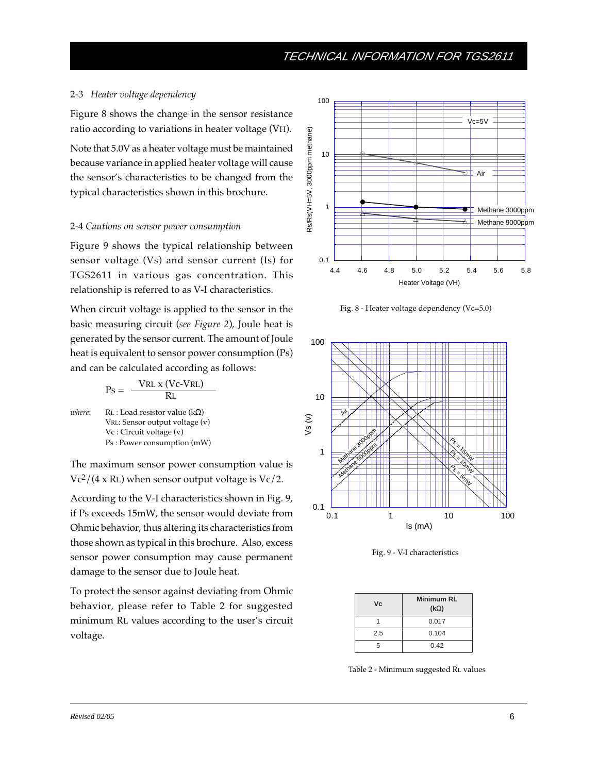#### 2-3 *Heater voltage dependency*

Figure 8 shows the change in the sensor resistance ratio according to variations in heater voltage (VH).

Note that 5.0V as a heater voltage must be maintained because variance in applied heater voltage will cause the sensor's characteristics to be changed from the typical characteristics shown in this brochure.

#### 2-4 *Cautions on sensor power consumption*

Figure 9 shows the typical relationship between sensor voltage (Vs) and sensor current (Is) for TGS2611 in various gas concentration. This relationship is referred to as V-I characteristics.

When circuit voltage is applied to the sensor in the basic measuring circuit (*see Figure 2*), Joule heat is generated by the sensor current. The amount of Joule heat is equivalent to sensor power consumption (Ps) and can be calculated according as follows:

$$
Ps = \frac{VRL \times (Vc-VRL)}{RL}
$$
  
where:  
RL : Load resistor value (kΩ)  
VRL: Sensor output voltage (v)  
Vc : Circuit voltage (v)  
Ps : Power consumption (mW)

The maximum sensor power consumption value is  $Vc^2/(4 \times R)$  when sensor output voltage is  $Vc/2$ .

According to the V-I characteristics shown in Fig. 9, if Ps exceeds 15mW, the sensor would deviate from Ohmic behavior, thus altering its characteristics from those shown as typical in this brochure. Also, excess sensor power consumption may cause permanent damage to the sensor due to Joule heat.

To protect the sensor against deviating from Ohmic behavior, please refer to Table 2 for suggested minimum RL values according to the user's circuit voltage.



Fig. 8 - Heater voltage dependency (Vc=5.0)



Fig. 9 - V-I characteristics

| Vc  | <b>Minimum RL</b><br>$(k\Omega)$ |
|-----|----------------------------------|
|     | 0.017                            |
| 2.5 | 0.104                            |
| 5   | 0.42                             |

Table 2 - Minimum suggested RL values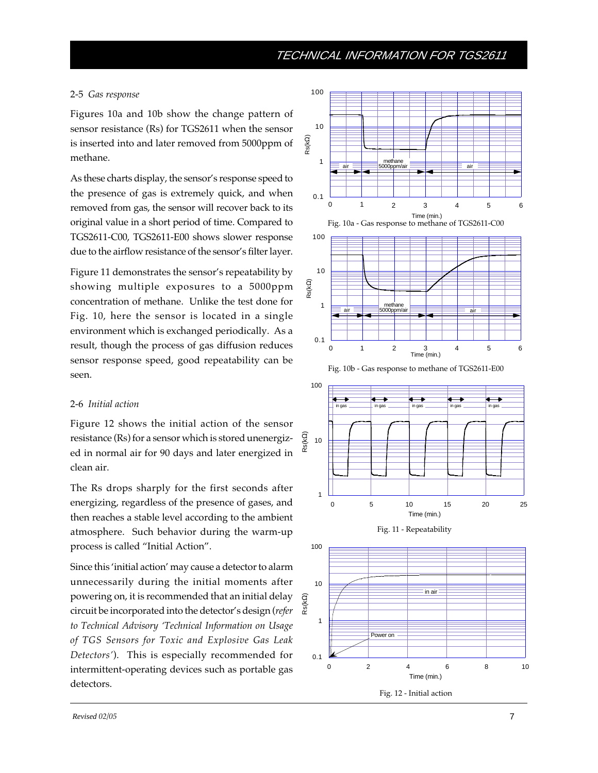### 2-5 *Gas response*

Figures 10a and 10b show the change pattern of sensor resistance (Rs) for TGS2611 when the sensor is inserted into and later removed from 5000ppm of methane.

As these charts display, the sensor's response speed to the presence of gas is extremely quick, and when removed from gas, the sensor will recover back to its original value in a short period of time. Compared to TGS2611-C00, TGS2611-E00 shows slower response due to the airflow resistance of the sensor's filter layer.

Figure 11 demonstrates the sensor's repeatability by showing multiple exposures to a 5000ppm concentration of methane. Unlike the test done for Fig. 10, here the sensor is located in a single environment which is exchanged periodically. As a result, though the process of gas diffusion reduces sensor response speed, good repeatability can be seen.

## 2-6 *Initial action*

Figure 12 shows the initial action of the sensor resistance (Rs) for a sensor which is stored unenergized in normal air for 90 days and later energized in clean air.

The Rs drops sharply for the first seconds after energizing, regardless of the presence of gases, and then reaches a stable level according to the ambient atmosphere. Such behavior during the warm-up process is called "Initial Action".

Since this 'initial action' may cause a detector to alarm unnecessarily during the initial moments after powering on, it is recommended that an initial delay circuit be incorporated into the detector's design (*refer to Technical Advisory 'Technical Information on Usage of TGS Sensors for Toxic and Explosive Gas Leak Detectors'*). This is especially recommended for intermittent-operating devices such as portable gas detectors.

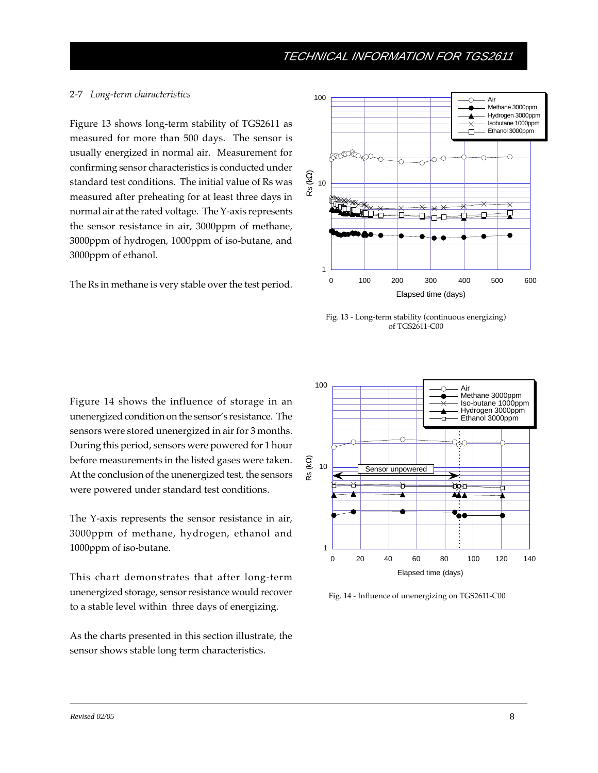# 2-7 *Long-term characteristics*

Figure 13 shows long-term stability of TGS2611 as measured for more than 500 days. The sensor is usually energized in normal air. Measurement for confirming sensor characteristics is conducted under standard test conditions. The initial value of Rs was measured after preheating for at least three days in normal air at the rated voltage. The Y-axis represents the sensor resistance in air, 3000ppm of methane, 3000ppm of hydrogen, 1000ppm of iso-butane, and 3000ppm of ethanol.

The Rs in methane is very stable over the test period.



Fig. 13 - Long-term stability (continuous energizing) of TGS2611-C00

Figure 14 shows the influence of storage in an unenergized condition on the sensor's resistance. The sensors were stored unenergized in air for 3 months. During this period, sensors were powered for 1 hour before measurements in the listed gases were taken. At the conclusion of the unenergized test, the sensors were powered under standard test conditions.

The Y-axis represents the sensor resistance in air, 3000ppm of methane, hydrogen, ethanol and 1000ppm of iso-butane.

This chart demonstrates that after long-term unenergized storage, sensor resistance would recover to a stable level within three days of energizing.

As the charts presented in this section illustrate, the sensor shows stable long term characteristics.



Fig. 14 - Influence of unenergizing on TGS2611-C00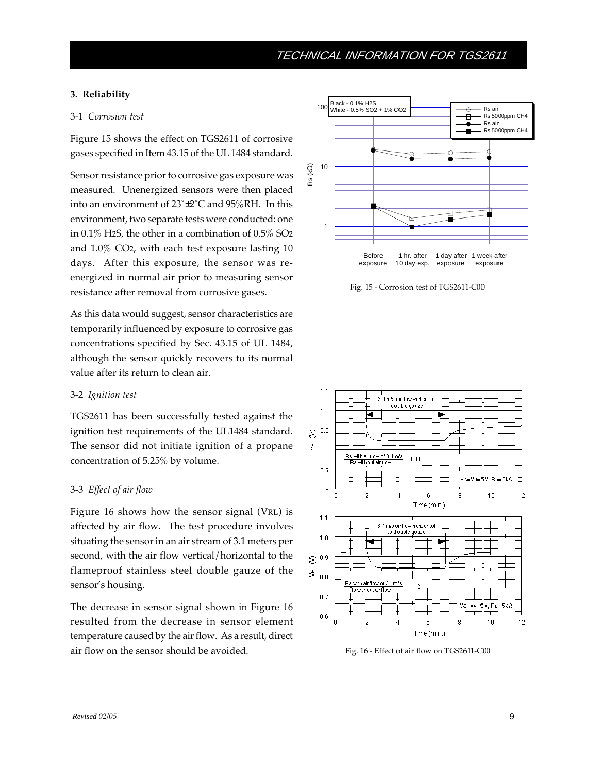# **3. Reliability**

## 3-1 *Corrosion test*

Figure 15 shows the effect on TGS2611 of corrosive gases specified in Item 43.15 of the UL 1484 standard.

Sensor resistance prior to corrosive gas exposure was measured. Unenergized sensors were then placed into an environment of 23˚±2˚C and 95%RH. In this environment, two separate tests were conducted: one in 0.1% H2S, the other in a combination of 0.5% SO2 and 1.0% CO2, with each test exposure lasting 10 days. After this exposure, the sensor was reenergized in normal air prior to measuring sensor resistance after removal from corrosive gases.

As this data would suggest, sensor characteristics are temporarily influenced by exposure to corrosive gas concentrations specified by Sec. 43.15 of UL 1484, although the sensor quickly recovers to its normal value after its return to clean air.

## 3-2 *Ignition test*

TGS2611 has been successfully tested against the ignition test requirements of the UL1484 standard. The sensor did not initiate ignition of a propane concentration of 5.25% by volume.

# 3-3 *Effect of air flow*

Figure 16 shows how the sensor signal (VRL) is affected by air flow. The test procedure involves situating the sensor in an air stream of 3.1 meters per second, with the air flow vertical/horizontal to the flameproof stainless steel double gauze of the sensor's housing.

The decrease in sensor signal shown in Figure 16 resulted from the decrease in sensor element temperature caused by the air flow. As a result, direct air flow on the sensor should be avoided.



Fig. 15 - Corrosion test of TGS2611-C00



Fig. 16 - Effect of air flow on TGS2611-C00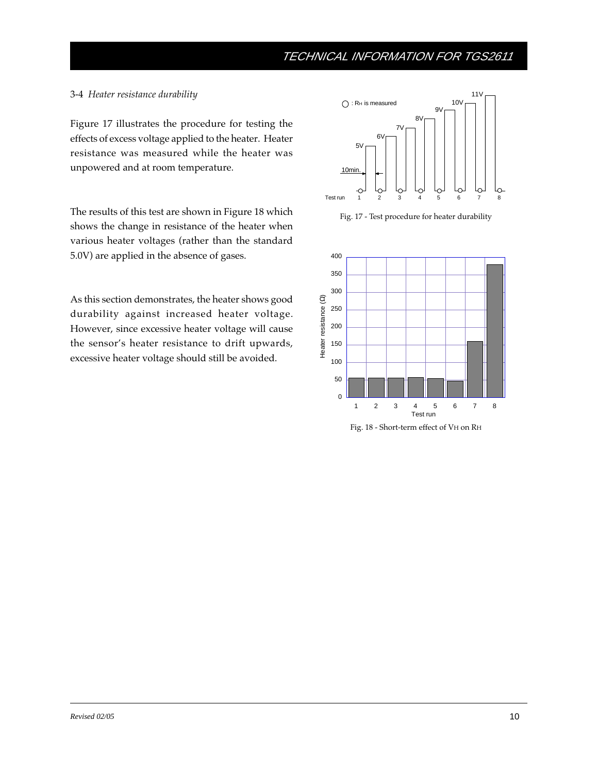### 3-4 *Heater resistance durability*

Figure 17 illustrates the procedure for testing the effects of excess voltage applied to the heater. Heater resistance was measured while the heater was unpowered and at room temperature.

The results of this test are shown in Figure 18 which shows the change in resistance of the heater when various heater voltages (rather than the standard 5.0V) are applied in the absence of gases.

As this section demonstrates, the heater shows good durability against increased heater voltage. However, since excessive heater voltage will cause the sensor's heater resistance to drift upwards, excessive heater voltage should still be avoided.



Fig. 17 - Test procedure for heater durability



Fig. 18 - Short-term effect of VH on RH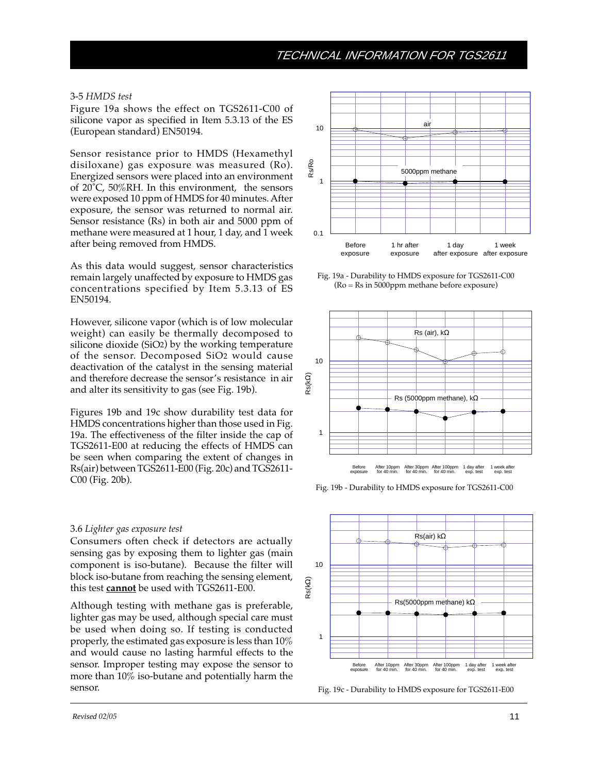#### 3-5 *HMDS test*

Figure 19a shows the effect on TGS2611-C00 of silicone vapor as specified in Item 5.3.13 of the ES (European standard) EN50194.

Sensor resistance prior to HMDS (Hexamethyl disiloxane) gas exposure was measured (Ro). Energized sensors were placed into an environment of  $20^{\circ}$ C,  $50\%$ RH. In this environment, the sensors were exposed 10 ppm of HMDS for 40 minutes. After exposure, the sensor was returned to normal air. Sensor resistance (Rs) in both air and 5000 ppm of methane were measured at 1 hour, 1 day, and 1 week after being removed from HMDS.

As this data would suggest, sensor characteristics remain largely unaffected by exposure to HMDS gas concentrations specified by Item 5.3.13 of ES EN50194.

However, silicone vapor (which is of low molecular weight) can easily be thermally decomposed to silicone dioxide (SiO2) by the working temperature of the sensor. Decomposed SiO2 would cause deactivation of the catalyst in the sensing material and therefore decrease the sensor's resistance in air and alter its sensitivity to gas (see Fig. 19b).

Figures 19b and 19c show durability test data for HMDS concentrations higher than those used in Fig. 19a. The effectiveness of the filter inside the cap of TGS2611-E00 at reducing the effects of HMDS can be seen when comparing the extent of changes in Rs(air) between TGS2611-E00 (Fig. 20c) and TGS2611- C00 (Fig. 20b).

#### 3.6 *Lighter gas exposure test*

Consumers often check if detectors are actually sensing gas by exposing them to lighter gas (main component is iso-butane). Because the filter will block iso-butane from reaching the sensing element, this test **cannot** be used with TGS2611-E00.

Although testing with methane gas is preferable, lighter gas may be used, although special care must be used when doing so. If testing is conducted properly, the estimated gas exposure is less than 10% and would cause no lasting harmful effects to the sensor. Improper testing may expose the sensor to more than 10% iso-butane and potentially harm the sensor. Fig. 19c - Durability to HMDS exposure for TGS2611-E00



Fig. 19a - Durability to HMDS exposure for TGS2611-C00 (Ro = Rs in 5000ppm methane before exposure)



Fig. 19b - Durability to HMDS exposure for TGS2611-C00

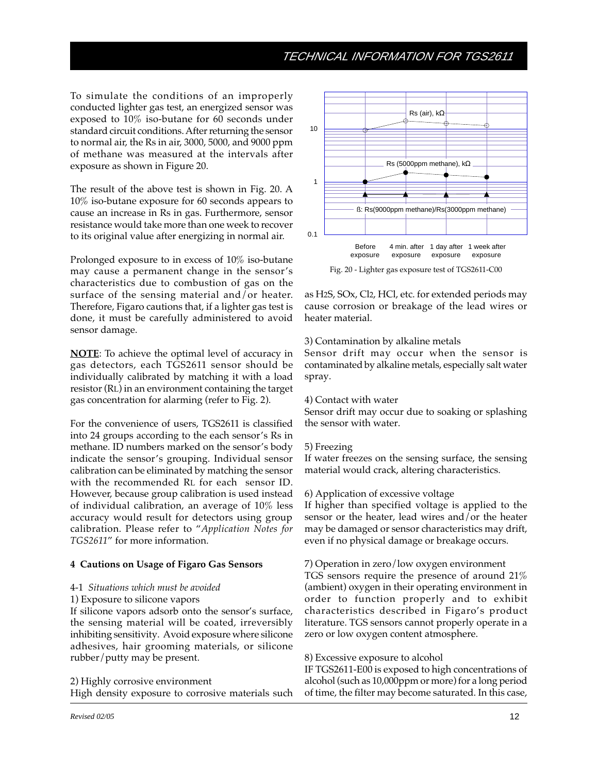To simulate the conditions of an improperly conducted lighter gas test, an energized sensor was exposed to 10% iso-butane for 60 seconds under standard circuit conditions. After returning the sensor to normal air, the Rs in air, 3000, 5000, and 9000 ppm of methane was measured at the intervals after exposure as shown in Figure 20.

The result of the above test is shown in Fig. 20. A 10% iso-butane exposure for 60 seconds appears to cause an increase in Rs in gas. Furthermore, sensor resistance would take more than one week to recover to its original value after energizing in normal air.

Prolonged exposure to in excess of 10% iso-butane may cause a permanent change in the sensor's characteristics due to combustion of gas on the surface of the sensing material and/or heater. Therefore, Figaro cautions that, if a lighter gas test is done, it must be carefully administered to avoid sensor damage.

**NOTE**: To achieve the optimal level of accuracy in gas detectors, each TGS2611 sensor should be individually calibrated by matching it with a load resistor (RL) in an environment containing the target gas concentration for alarming (refer to Fig. 2).

For the convenience of users, TGS2611 is classified into 24 groups according to the each sensor's Rs in methane. ID numbers marked on the sensor's body indicate the sensor's grouping. Individual sensor calibration can be eliminated by matching the sensor with the recommended RL for each sensor ID. However, because group calibration is used instead of individual calibration, an average of 10% less accuracy would result for detectors using group calibration. Please refer to "*Application Notes for TGS2611*" for more information.

#### **4 Cautions on Usage of Figaro Gas Sensors**

#### 4-1 *Situations which must be avoided*

1) Exposure to silicone vapors

If silicone vapors adsorb onto the sensor's surface, the sensing material will be coated, irreversibly inhibiting sensitivity. Avoid exposure where silicone adhesives, hair grooming materials, or silicone rubber/putty may be present.

2) Highly corrosive environment High density exposure to corrosive materials such



Fig. 20 - Lighter gas exposure test of TGS2611-C00

as H2S, SOx, Cl2, HCl, etc. for extended periods may cause corrosion or breakage of the lead wires or heater material.

## 3) Contamination by alkaline metals

Sensor drift may occur when the sensor is contaminated by alkaline metals, especially salt water spray.

#### 4) Contact with water

Sensor drift may occur due to soaking or splashing the sensor with water.

#### 5) Freezing

If water freezes on the sensing surface, the sensing material would crack, altering characteristics.

#### 6) Application of excessive voltage

If higher than specified voltage is applied to the sensor or the heater, lead wires and/or the heater may be damaged or sensor characteristics may drift, even if no physical damage or breakage occurs.

## 7) Operation in zero/low oxygen environment

TGS sensors require the presence of around 21% (ambient) oxygen in their operating environment in order to function properly and to exhibit characteristics described in Figaro's product literature. TGS sensors cannot properly operate in a zero or low oxygen content atmosphere.

## 8) Excessive exposure to alcohol

IF TGS2611-E00 is exposed to high concentrations of alcohol (such as 10,000ppm or more) for a long period of time, the filter may become saturated. In this case,